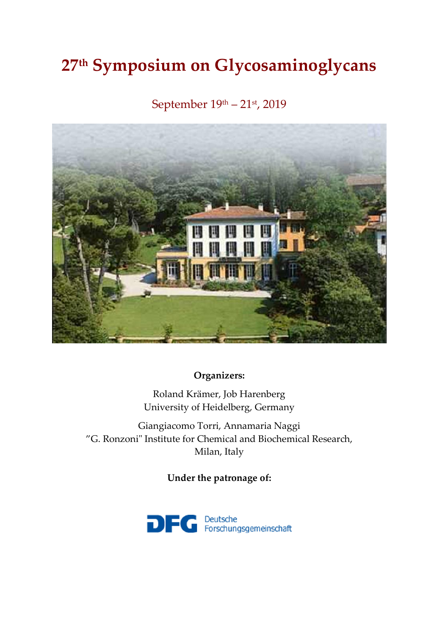# **27 th Symposium on Glycosaminoglycans**

## September 19 th – 21st, 2019



## **Organizers:**

Roland Krämer, Job Harenberg University of Heidelberg, Germany

Giangiacomo Torri, Annamaria Naggi "G. Ronzoni" Institute for Chemical and Biochemical Research, Milan, Italy

**Under the patronage of:**

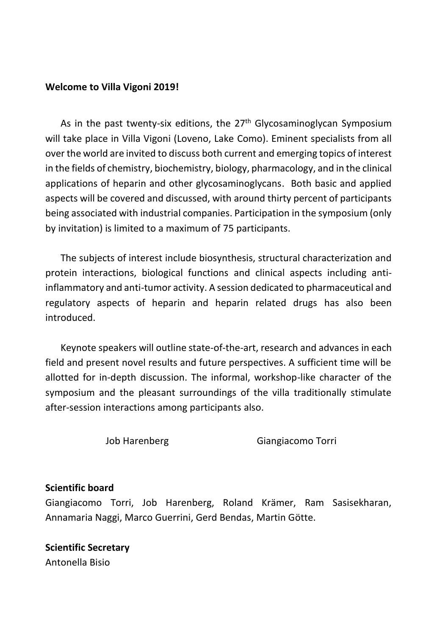#### **Welcome to Villa Vigoni 2019!**

As in the past twenty-six editions, the 27<sup>th</sup> Glycosaminoglycan Symposium will take place in Villa Vigoni (Loveno, Lake Como). Eminent specialists from all over the world are invited to discuss both current and emerging topics of interest in the fields of chemistry, biochemistry, biology, pharmacology, and in the clinical applications of heparin and other glycosaminoglycans. Both basic and applied aspects will be covered and discussed, with around thirty percent of participants being associated with industrial companies. Participation in the symposium (only by invitation) is limited to a maximum of 75 participants.

The subjects of interest include biosynthesis, structural characterization and protein interactions, biological functions and clinical aspects including antiinflammatory and anti-tumor activity. A session dedicated to pharmaceutical and regulatory aspects of heparin and heparin related drugs has also been introduced.

Keynote speakers will outline state-of-the-art, research and advances in each field and present novel results and future perspectives. A sufficient time will be allotted for in-depth discussion. The informal, workshop-like character of the symposium and the pleasant surroundings of the villa traditionally stimulate after-session interactions among participants also.

Job Harenberg Giangiacomo Torri

#### **Scientific board**

Giangiacomo Torri, Job Harenberg, Roland Krämer, Ram Sasisekharan, Annamaria Naggi, Marco Guerrini, Gerd Bendas, Martin Götte.

**Scientific Secretary** Antonella Bisio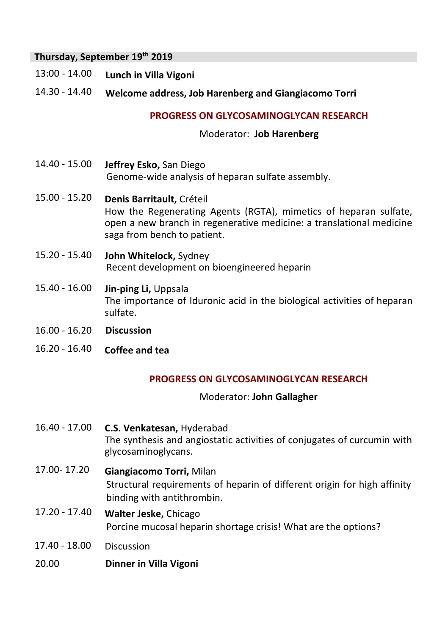## **Thursday, September 19 th 2019**

- 13:00 14.00 **Lunch in Villa Vigoni**
- 14.30 14.40 **Welcome address, Job Harenberg and Giangiacomo Torri**

#### **PROGRESS ON GLYCOSAMINOGLYCAN RESEARCH**

#### Moderator: **Job Harenberg**

- 14.40 15.00 **Jeffrey Esko,** San Diego Genome-wide analysis of heparan sulfate assembly.
- 15.00 15.20 **Denis Barritault,** Créteil How the Regenerating Agents (RGTA), mimetics of heparan sulfate, open a new branch in regenerative medicine: a translational medicine saga from bench to patient.
- 15.20 15.40 **John Whitelock,** Sydney Recent development on bioengineered heparin
- 15.40 16.00 **Jin-ping Li,** Uppsala The importance of Iduronic acid in the biological activities of heparan sulfate.
- 16.00 16.20 **Discussion**
- 16.20 16.40 **Coffee and tea**

#### **PROGRESS ON GLYCOSAMINOGLYCAN RESEARCH**

#### Moderator: **John Gallagher**

- 16.40 17.00 **C.S. Venkatesan,** Hyderabad The synthesis and angiostatic activities of conjugates of curcumin with glycosaminoglycans.
- 17.00- 17.20 **Giangiacomo Torri,** Milan Structural requirements of heparin of different origin for high affinity binding with antithrombin.
- 17.20 17.40 **Walter Jeske,** Chicago Porcine mucosal heparin shortage crisis! What are the options?
- 17.40 18.00 Discussion
- 20.00 **Dinner in Villa Vigoni**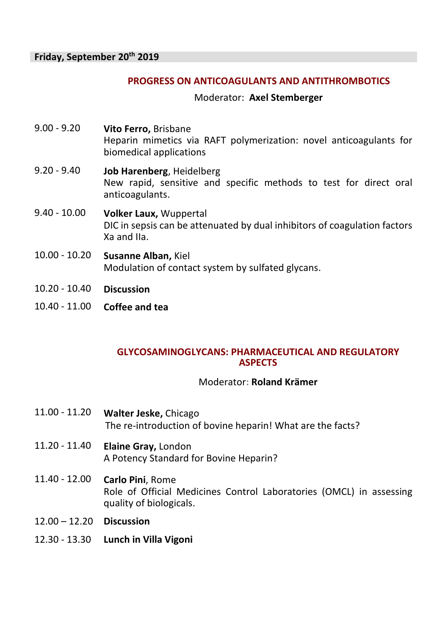#### **PROGRESS ON ANTICOAGULANTS AND ANTITHROMBOTICS**

Moderator: **Axel Stemberger** 

- 9.00 9.20 **Vito Ferro,** Brisbane Heparin mimetics via RAFT polymerization: novel anticoagulants for biomedical applications
- 9.20 9.40 **Job Harenberg**, Heidelberg New rapid, sensitive and specific methods to test for direct oral anticoagulants.
- 9.40 10.00 **Volker Laux,** Wuppertal DIC in sepsis can be attenuated by dual inhibitors of coagulation factors Xa and IIa.
- 10.00 10.20 **Susanne Alban,** Kiel Modulation of contact system by sulfated glycans.
- 10.20 10.40 **Discussion**
- 10.40 11.00 **Coffee and tea**

#### **GLYCOSAMINOGLYCANS: PHARMACEUTICAL AND REGULATORY ASPECTS**

#### Moderator**: Roland Krämer**

- 11.00 11.20 **Walter Jeske,** Chicago The re-introduction of bovine heparin! What are the facts?
- 11.20 11.40 **Elaine Gray,** London A Potency Standard for Bovine Heparin?
- 11.40 12.00 **Carlo Pini**, Rome Role of Official Medicines Control Laboratories (OMCL) in assessing quality of biologicals.
- 12.00 12.20 **Discussion**
- 12.30 13.30 **Lunch in Villa Vigoni**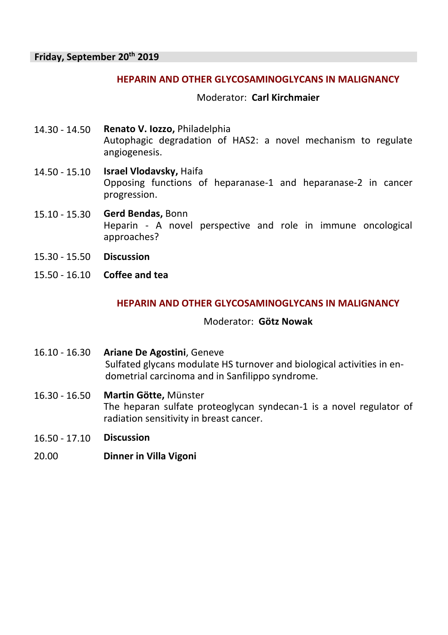#### **HEPARIN AND OTHER GLYCOSAMINOGLYCANS IN MALIGNANCY**

Moderator: **Carl Kirchmaier**

- 14.30 14.50 **Renato V. Iozzo,** Philadelphia Autophagic degradation of HAS2: a novel mechanism to regulate angiogenesis.
- 14.50 15.10 **Israel Vlodavsky,** Haifa Opposing functions of heparanase-1 and heparanase-2 in cancer progression.
- 15.10 15.30 **Gerd Bendas,** Bonn Heparin - A novel perspective and role in immune oncological approaches?
- 15.30 15.50 **Discussion**
- 15.50 16.10 **Coffee and tea**

#### **HEPARIN AND OTHER GLYCOSAMINOGLYCANS IN MALIGNANCY**

#### Moderator: **Götz Nowak**

- 16.10 16.30 **Ariane De Agostini**, Geneve Sulfated glycans modulate HS turnover and biological activities in endometrial carcinoma and in Sanfilippo syndrome.
- 16.30 16.50 **Martin Götte,** Münster The heparan sulfate proteoglycan syndecan-1 is a novel regulator of radiation sensitivity in breast cancer.
- 16.50 17.10 **Discussion**
- 20.00 **Dinner in Villa Vigoni**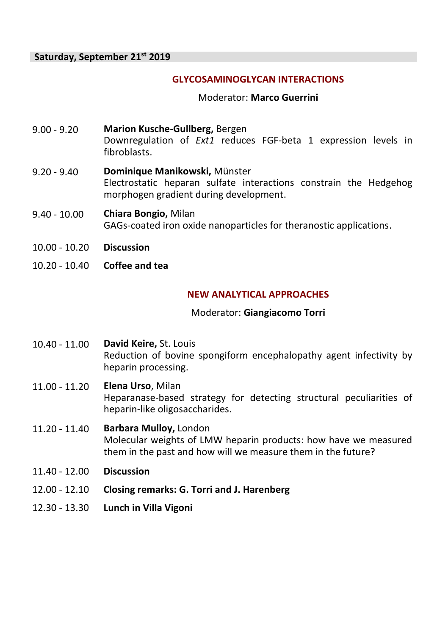#### **GLYCOSAMINOGLYCAN INTERACTIONS**

Moderator: **Marco Guerrini**

- 9.00 9.20 **Marion Kusche-Gullberg,** Bergen Downregulation of *Ext1* reduces FGF-beta 1 expression levels in fibroblasts.
- 9.20 9.40 **Dominique Manikowski,** Münster Electrostatic heparan sulfate interactions constrain the Hedgehog morphogen gradient during development.
- 9.40 10.00 **Chiara Bongio,** Milan GAGs-coated iron oxide nanoparticles for theranostic applications.
- 10.00 10.20 **Discussion**
- 10.20 10.40 **Coffee and tea**

## **NEW ANALYTICAL APPROACHES**

#### Moderator: **Giangiacomo Torri**

- 10.40 11.00 **David Keire,** St. Louis Reduction of bovine spongiform encephalopathy agent infectivity by heparin processing.
- 11.00 11.20 **Elena Urso**, Milan Heparanase-based strategy for detecting structural peculiarities of heparin-like oligosaccharides.

## 11.20 - 11.40 **Barbara Mulloy,** London Molecular weights of LMW heparin products: how have we measured them in the past and how will we measure them in the future?

- 11.40 12.00 **Discussion**
- 12.00 12.10 **Closing remarks: G. Torri and J. Harenberg**
- 12.30 13.30 **Lunch in Villa Vigoni**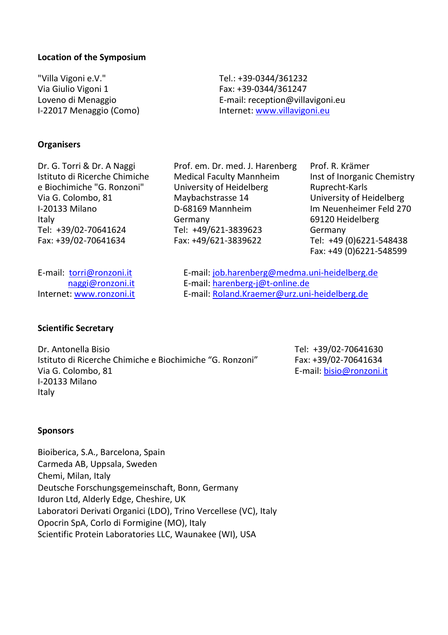#### **Location of the Symposium**

"Villa Vigoni e.V." Tel.: +39-0344/361232 Via Giulio Vigoni 1 **Fax: +39-0344/361247**<br>
Loveno di Menaggio **Faxilia E-mail:** reception@villa

**Organisers**

Dr. G. Torri & Dr. A Naggi Prof. em. Dr. med. J. Harenberg Prof. R. Krämer e Biochimiche "G. Ronzoni" University of Heidelberg<br>Via G. Colombo. 81 Maybachstrasse 14

Loveno di Menaggio <br>
1-22017 Menaggio (Como) di Reference internet: www.villavigoni.eu Internet[: www.villavigoni.eu](http://www.villavigoni.ieu/)

Istituto di Ricerche Chimiche Medical Faculty Mannheim Inst of Inorganic Chemistry<br>
e Biochimiche "G. Ronzoni" University of Heidelberg Ruprecht-Karls I-20133 Milano D-68169 Mannheim Im Neuenheimer Feld 270 Italy Germany 69120 Heidelberg Tel: +49/621-3839623 Germany<br>Fax: +49/621-3839622 Tel: +49 ( Fax: +39/02-70641634 Fax: +49/621-3839622 Tel: +49 (0)6221-548438

University of Heidelberg Fax: +49 (0)6221-548599

E-mail: <u>torri@ronzoni.it</u> E-mail[: job.harenberg@medma.uni-heidelberg.de](mailto:job.harenberg@medma.uni-heidelberg.de)<br>
E-mail: harenberg-i@t-online.de [naggi@ronzoni.it](mailto:naggi@ronzoni.it) E-mail[: harenberg-j@t-online.de](mailto:harenberg-j@t-online.de)<br>Internet: www.ronzoni.it E-mail: Roland.Kraemer@urz.uni E-mail[: Roland.Kraemer@urz.uni-heidelberg.de](mailto:Roland.Kraemer@urz.uni-heidelberg.de)

#### **Scientific Secretary**

Dr. Antonella Bisio Tel: +39/02-70641630<br>Istituto di Ricerche Chimiche e Biochimiche "G. Ronzoni" Fax: +39/02-70641634 Istituto di Ricerche Chimiche e Biochimiche "G. Ronzoni" Via G. Colombo, 81 **E-mail:** bisio@ronzoni.it I-20133 Milano Italy

#### **Sponsors**

Bioiberica, S.A., Barcelona, Spain Carmeda AB, Uppsala, Sweden Chemi, Milan, Italy Deutsche Forschungsgemeinschaft, Bonn, Germany Iduron Ltd, Alderly Edge, Cheshire, UK Laboratori Derivati Organici (LDO), Trino Vercellese (VC), Italy Opocrin SpA, Corlo di Formigine (MO), Italy Scientific Protein Laboratories LLC, Waunakee (WI), USA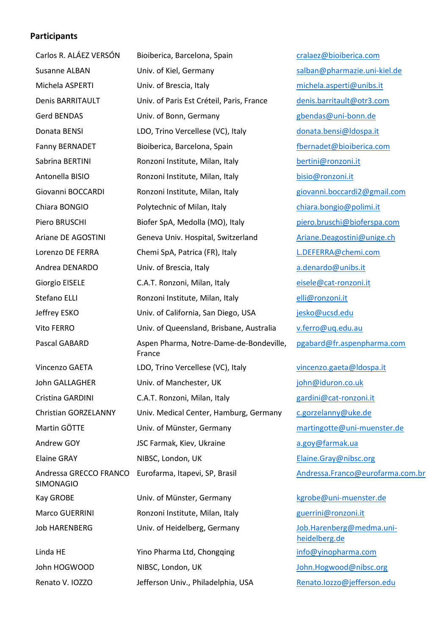#### **Participants**

| Carlos R. ALÁEZ VERSÓN                     | Bioiberica, Barcelona, Spain                      | cralaez@bioiberica.com                    |
|--------------------------------------------|---------------------------------------------------|-------------------------------------------|
| Susanne ALBAN                              | Univ. of Kiel, Germany                            | salban@pharmazie.uni-kiel.de              |
| Michela ASPERTI                            | Univ. of Brescia, Italy                           | michela.asperti@unibs.it                  |
| <b>Denis BARRITAULT</b>                    | Univ. of Paris Est Créteil, Paris, France         | denis.barritault@otr3.com                 |
| Gerd BENDAS                                | Univ. of Bonn, Germany                            | gbendas@uni-bonn.de                       |
| Donata BENSI                               | LDO, Trino Vercellese (VC), Italy                 | donata.bensi@ldospa.it                    |
| Fanny BERNADET                             | Bioiberica, Barcelona, Spain                      | fbernadet@bioiberica.com                  |
| Sabrina BERTINI                            | Ronzoni Institute, Milan, Italy                   | bertini@ronzoni.it                        |
| Antonella BISIO                            | Ronzoni Institute, Milan, Italy                   | bisio@ronzoni.it                          |
| Giovanni BOCCARDI                          | Ronzoni Institute, Milan, Italy                   | giovanni.boccardi2@gmail.com              |
| Chiara BONGIO                              | Polytechnic of Milan, Italy                       | chiara.bongio@polimi.it                   |
| Piero BRUSCHI                              | Biofer SpA, Medolla (MO), Italy                   | piero.bruschi@bioferspa.com               |
| Ariane DE AGOSTINI                         | Geneva Univ. Hospital, Switzerland                | Ariane.Deagostini@unige.ch                |
| Lorenzo DE FERRA                           | Chemi SpA, Patrica (FR), Italy                    | L.DEFERRA@chemi.com                       |
| Andrea DENARDO                             | Univ. of Brescia, Italy                           | a.denardo@unibs.it                        |
| Giorgio EISELE                             | C.A.T. Ronzoni, Milan, Italy                      | eisele@cat-ronzoni.it                     |
| Stefano ELLI                               | Ronzoni Institute, Milan, Italy                   | elli@ronzoni.it                           |
| Jeffrey ESKO                               | Univ. of California, San Diego, USA               | jesko@ucsd.edu                            |
| Vito FERRO                                 | Univ. of Queensland, Brisbane, Australia          | v.ferro@uq.edu.au                         |
| Pascal GABARD                              | Aspen Pharma, Notre-Dame-de-Bondeville,<br>France | pgabard@fr.aspenpharma.com                |
| Vincenzo GAETA                             | LDO, Trino Vercellese (VC), Italy                 | vincenzo.gaeta@ldospa.it                  |
| John GALLAGHER                             | Univ. of Manchester, UK                           | john@iduron.co.uk                         |
| Cristina GARDINI                           | C.A.T. Ronzoni, Milan, Italy                      | gardini@cat-ronzoni.it                    |
| Christian GORZELANNY                       | Univ. Medical Center, Hamburg, Germany            | c.gorzelanny@uke.de                       |
| Martin GÖTTE                               | Univ. of Münster, Germany                         | martingotte@uni-muenster.de               |
| Andrew GOY                                 | JSC Farmak, Kiev, Ukraine                         | a.goy@farmak.ua                           |
| Elaine GRAY                                | NIBSC, London, UK                                 | Elaine.Gray@nibsc.org                     |
| Andressa GRECCO FRANCO<br><b>SIMONAGIO</b> | Eurofarma, Itapevi, SP, Brasil                    | Andressa.Franco@eurofarma.co              |
| Kay GROBE                                  | Univ. of Münster, Germany                         | kgrobe@uni-muenster.de                    |
| <b>Marco GUERRINI</b>                      | Ronzoni Institute, Milan, Italy                   | guerrini@ronzoni.it                       |
| <b>Job HARENBERG</b>                       | Univ. of Heidelberg, Germany                      | Job.Harenberg@medma.uni-<br>heidelberg.de |
| Linda HE                                   | Yino Pharma Ltd, Chongqing                        | info@yinopharma.com                       |
| John HOGWOOD                               | NIBSC, London, UK                                 | John.Hogwood@nibsc.org                    |
| Renato V. IOZZO                            | Jefferson Univ., Philadelphia, USA                | Renato.lozzo@jefferson.edu                |
|                                            |                                                   |                                           |

essa. Franco@eurofarma.com.br be@uni-muenster.de rini@ronzoni.it Harenberg@medma.unielberg.de **Q**yinopharma.com Hogwood@nibsc.org  $R$ ito.lozzo@jefferson.edu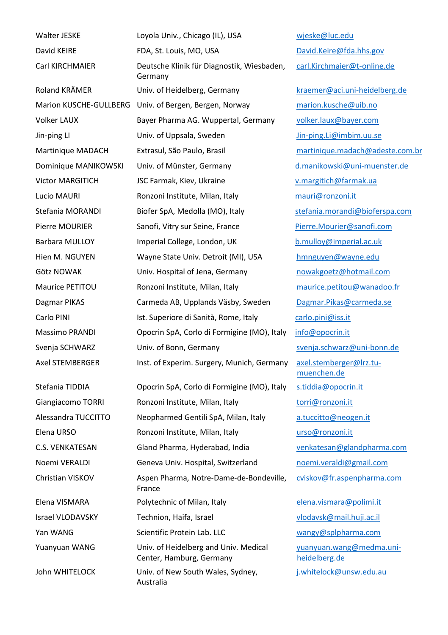Yan WANG Scientific Protein Lab. LLC [wangy@splpharma.com](mailto:wangy@splpharma.com) Yuanyuan WANG Univ. of Heidelberg and Univ. Medical

John WHITELOCK Univ. of New South Wales, Sydney,

Walter JESKE Loyola Univ., Chicago (IL), USA [wjeske@luc.edu](mailto:wjeske@luc.edu) David KEIRE FDA, St. Louis, MO, USA [David.Keire@fda.hhs.gov](mailto:David.Keire@fda.hhs.gov) Carl KIRCHMAIER Deutsche Klinik für Diagnostik, Wiesbaden, Germany Roland KRÄMER **Univ.** of Heidelberg, Germany kraemer@aci.uni-heidelberg.de Marion KUSCHE-GULLBERG Univ. of Bergen, Bergen, Norway marion.kusche@uib.no Volker LAUX Bayer Pharma AG. Wuppertal, Germany [volker.laux@bayer.com](mailto:volker.laux@bayer.com) Jin-ping LI **State Lines Controller Univ. of Uppsala, Sweden** Jin-ping.Li@imbim.uu.se Martinique MADACH Extrasul, São Paulo, Brasil martinique.madach@adeste.com.br Dominique MANIKOWSKI Univ. of Münster, Germany [d.manikowski@uni-muenster.de](mailto:d.manikowski@uni-muenster.de) Victor MARGITICH JSC Farmak, Kiev, Ukraine [v.margitich@farmak.ua](mailto:v.margitich@farmak.ua) Lucio MAURI **Ronzoni Institute, Milan, Italy** [mauri@ronzoni.it](mailto:mauri@ronzoni.it) Stefania MORANDI Biofer SpA, Medolla (MO), Italy [stefania.morandi@bioferspa.com](mailto:stefania.morandi@bioferspa.com) Pierre MOURIER Sanofi, Vitry sur Seine, France [Pierre.Mourier@sanofi.com](mailto:Pierre.Mourier@sanofi.com) Barbara MULLOY **Imperial College, London, UK** [b.mulloy@imperial.ac.uk](mailto:b.mulloy@imperial.ac.uk) Hien M. NGUYEN Wayne State Univ. Detroit (MI), USA [hmnguyen@wayne.edu](mailto:hmnguyen@wayne.edu) Götz NOWAK Univ. Hospital of Jena, Germany [nowakgoetz@hotmail.com](mailto:nowakgoetz@hotmail.com) Maurice PETITOU Ronzoni Institute, Milan, Italy [maurice.petitou@wanadoo.fr](mailto:maurice.petitou@wanadoo.fr) Dagmar PIKAS Carmeda AB, Upplands Väsby, Sweden [Dagmar.Pikas@carmeda.se](mailto:Dagmar.Pikas@carmeda.se) Carlo PINI ist. Superiore di Sanità, Rome, Italy [carlo.pini@iss.it](mailto:carlo.pini@iss.it) Massimo PRANDI Opocrin SpA, Corlo di Formigine (MO), Italy [info@opocrin.it](mailto:info@opocrin.it) Svenia SCHWARZ Univ. of Bonn, Germany svenia.schwarz@uni-bonn.de Axel STEMBERGER Inst. of Experim. Surgery, Munich, Germany [axel.stemberger@lrz.tu-](mailto:axel.stemberger@lrz.tu-muenchen.de)Stefania TIDDIA Opocrin SpA, Corlo di Formigine (MO), Italy [s.tiddia@opocrin.it](mailto:s.tiddia@opocrin.it) Giangiacomo TORRI Ronzoni Institute, Milan, Italy [torri@ronzoni.it](mailto:torri@ronzoni.it) Alessandra TUCCITTO Neopharmed Gentili SpA, Milan, Italy [a.tuccitto@neogen.it](mailto:a.tuccitto@neogen.it) Elena URSO Ronzoni Institute, Milan, Italy [urso@ronzoni.it](mailto:urso@ronzoni.it) C.S. VENKATESAN Gland Pharma, Hyderabad, India [venkatesan@glandpharma.com](mailto:venkatesan@glandpharma.com) Noemi VERALDI Geneva Univ. Hospital, Switzerland [noemi.veraldi@gmail.com](mailto:noemi.veraldi@gmail.com) Christian VISKOV Aspen Pharma, Notre-Dame-de-Bondeville, France Elena VISMARA Polytechnic of Milan, Italy [elena.vismara@polimi.it](mailto:elena.vismara@polimi.it)

Center, Hamburg, Germany

Australia

[carl.Kirchmaier@t-online.de](mailto:carl.Kirchmaier@t-online.de) [muenchen.de](mailto:axel.stemberger@lrz.tu-muenchen.de) [cviskov@fr.aspenpharma.com](mailto:cviskov@fr.aspenpharma.com) Israel VLODAVSKY Technion, Haifa, Israel [vlodavsk@mail.huji.ac.il](mailto:vlodavsk@mail.huji.ac.il)

> [yuanyuan.wang@medma.uni](mailto:yuanyuan.wang@medma.uni-heidelberg.de)[heidelberg.de](mailto:yuanyuan.wang@medma.uni-heidelberg.de) [j.whitelock@unsw.edu.au](mailto:j.whitelock@unsw.edu.au)